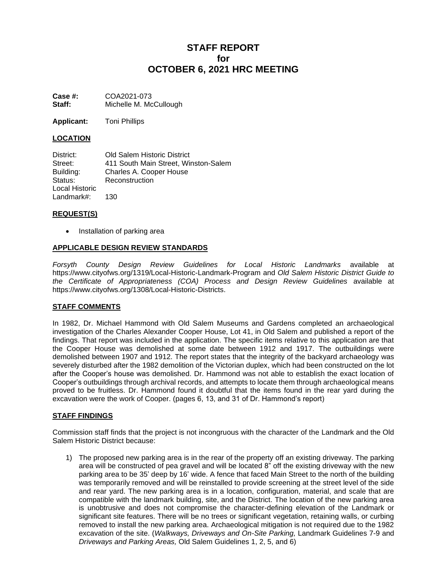# **STAFF REPORT for OCTOBER 6, 2021 HRC MEETING**

**Case #:** COA2021-073 **Staff:** Michelle M. McCullough

**Applicant:** Toni Phillips

# **LOCATION**

District: Old Salem Historic District Street: 411 South Main Street, Winston-Salem Building: Charles A. Cooper House Status: Reconstruction Local Historic Landmark#: 130

## **REQUEST(S)**

• Installation of parking area

## **APPLICABLE DESIGN REVIEW STANDARDS**

*Forsyth County Design Review Guidelines for Local Historic Landmarks* available at <https://www.cityofws.org/1319/Local-Historic-Landmark-Program> and *Old Salem Historic District Guide to the Certificate of Appropriateness (COA) Process and Design Review Guidelines* available at https://www.cityofws.org/1308/Local-Historic-Districts.

# **STAFF COMMENTS**

In 1982, Dr. Michael Hammond with Old Salem Museums and Gardens completed an archaeological investigation of the Charles Alexander Cooper House, Lot 41, in Old Salem and published a report of the findings. That report was included in the application. The specific items relative to this application are that the Cooper House was demolished at some date between 1912 and 1917. The outbuildings were demolished between 1907 and 1912. The report states that the integrity of the backyard archaeology was severely disturbed after the 1982 demolition of the Victorian duplex, which had been constructed on the lot after the Cooper's house was demolished. Dr. Hammond was not able to establish the exact location of Cooper's outbuildings through archival records, and attempts to locate them through archaeological means proved to be fruitless. Dr. Hammond found it doubtful that the items found in the rear yard during the excavation were the work of Cooper. (pages 6, 13, and 31 of Dr. Hammond's report)

## **STAFF FINDINGS**

Commission staff finds that the project is not incongruous with the character of the Landmark and the Old Salem Historic District because:

1) The proposed new parking area is in the rear of the property off an existing driveway. The parking area will be constructed of pea gravel and will be located 8" off the existing driveway with the new parking area to be 35' deep by 16' wide. A fence that faced Main Street to the north of the building was temporarily removed and will be reinstalled to provide screening at the street level of the side and rear yard. The new parking area is in a location, configuration, material, and scale that are compatible with the landmark building, site, and the District. The location of the new parking area is unobtrusive and does not compromise the character-defining elevation of the Landmark or significant site features. There will be no trees or significant vegetation, retaining walls, or curbing removed to install the new parking area. Archaeological mitigation is not required due to the 1982 excavation of the site. (*Walkways, Driveways and On-Site Parking,* Landmark Guidelines 7-9 and *Driveways and Parking Areas,* Old Salem Guidelines 1, 2, 5, and 6)